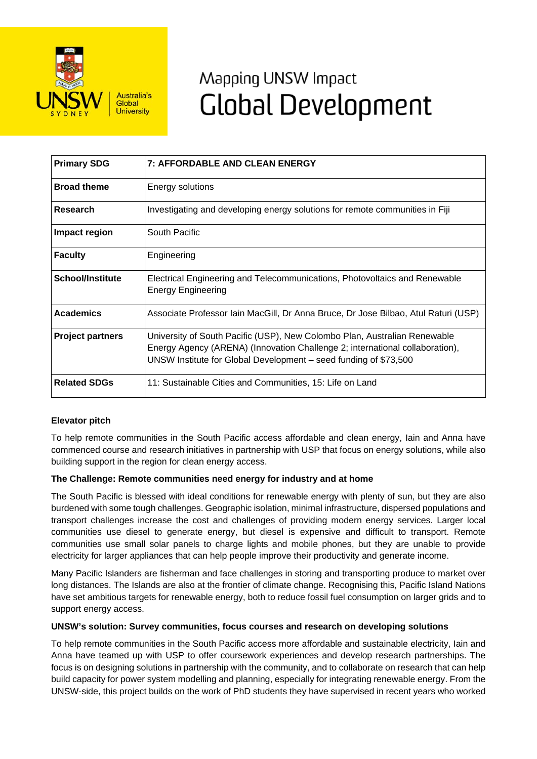

# Mapping UNSW Impact **Global Development**

| <b>Primary SDG</b>      | 7: AFFORDABLE AND CLEAN ENERGY                                                                                                                                                                                                |
|-------------------------|-------------------------------------------------------------------------------------------------------------------------------------------------------------------------------------------------------------------------------|
| <b>Broad theme</b>      | Energy solutions                                                                                                                                                                                                              |
| Research                | Investigating and developing energy solutions for remote communities in Fiji                                                                                                                                                  |
| Impact region           | South Pacific                                                                                                                                                                                                                 |
| <b>Faculty</b>          | Engineering                                                                                                                                                                                                                   |
| <b>School/Institute</b> | Electrical Engineering and Telecommunications, Photovoltaics and Renewable<br><b>Energy Engineering</b>                                                                                                                       |
| <b>Academics</b>        | Associate Professor Iain MacGill, Dr Anna Bruce, Dr Jose Bilbao, Atul Raturi (USP)                                                                                                                                            |
| <b>Project partners</b> | University of South Pacific (USP), New Colombo Plan, Australian Renewable<br>Energy Agency (ARENA) (Innovation Challenge 2; international collaboration),<br>UNSW Institute for Global Development – seed funding of \$73,500 |
| <b>Related SDGs</b>     | 11: Sustainable Cities and Communities, 15: Life on Land                                                                                                                                                                      |

## **Elevator pitch**

To help remote communities in the South Pacific access affordable and clean energy, Iain and Anna have commenced course and research initiatives in partnership with USP that focus on energy solutions, while also building support in the region for clean energy access.

### **The Challenge: Remote communities need energy for industry and at home**

The South Pacific is blessed with ideal conditions for renewable energy with plenty of sun, but they are also burdened with some tough challenges. Geographic isolation, minimal infrastructure, dispersed populations and transport challenges increase the cost and challenges of providing modern energy services. Larger local communities use diesel to generate energy, but diesel is expensive and difficult to transport. Remote communities use small solar panels to charge lights and mobile phones, but they are unable to provide electricity for larger appliances that can help people improve their productivity and generate income.

Many Pacific Islanders are fisherman and face challenges in storing and transporting produce to market over long distances. The Islands are also at the frontier of climate change. Recognising this, Pacific Island Nations have set ambitious targets for renewable energy, both to reduce fossil fuel consumption on larger grids and to support energy access.

### **UNSW's solution: Survey communities, focus courses and research on developing solutions**

To help remote communities in the South Pacific access more affordable and sustainable electricity, Iain and Anna have teamed up with USP to offer coursework experiences and develop research partnerships. The focus is on designing solutions in partnership with the community, and to collaborate on research that can help build capacity for power system modelling and planning, especially for integrating renewable energy. From the UNSW-side, this project builds on the work of PhD students they have supervised in recent years who worked